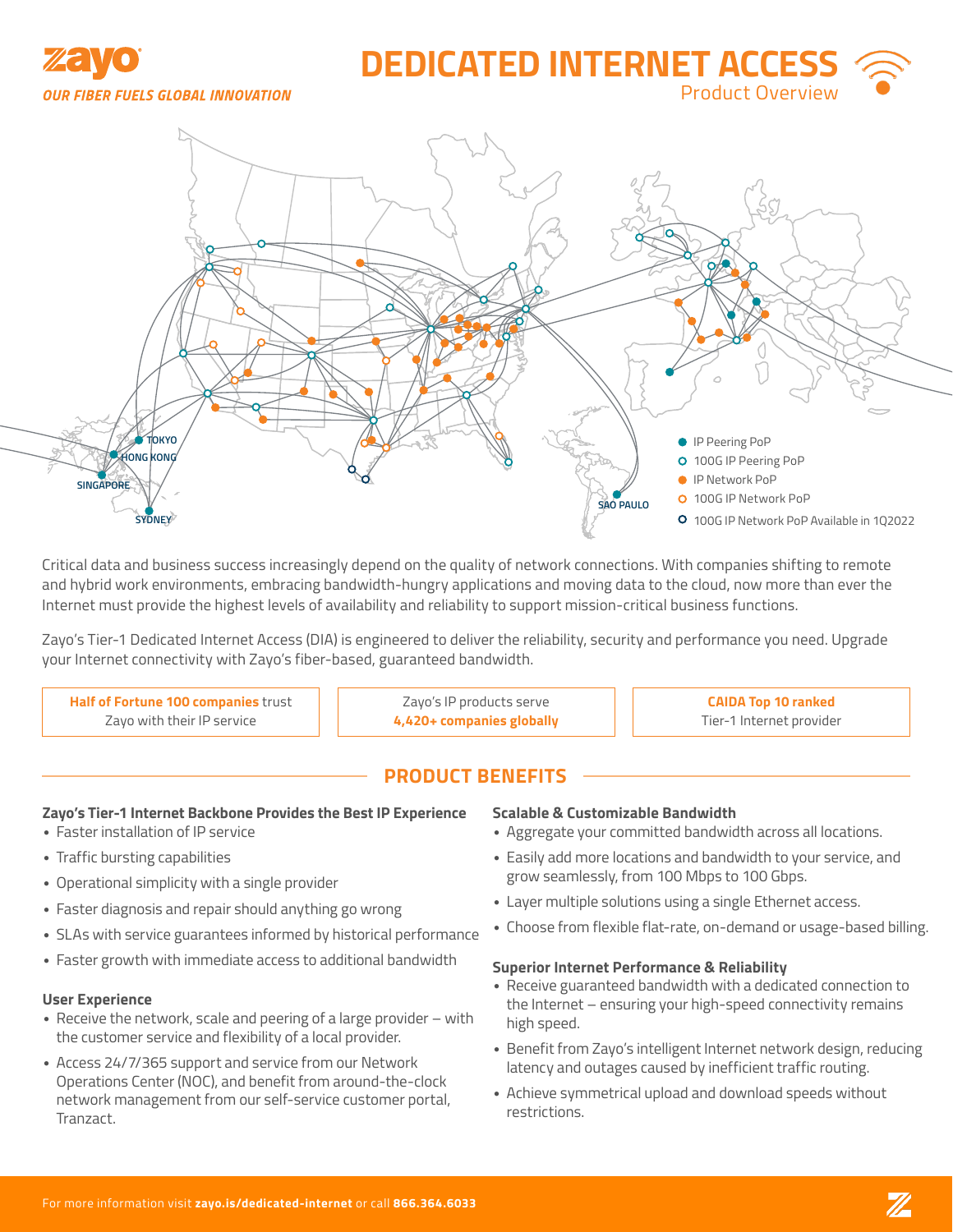

# **DEDICATED INTERNET ACCE** Product Overview



Critical data and business success increasingly depend on the quality of network connections. With companies shifting to remote and hybrid work environments, embracing bandwidth-hungry applications and moving data to the cloud, now more than ever the Internet must provide the highest levels of availability and reliability to support mission-critical business functions.

Zayo's Tier-1 Dedicated Internet Access (DIA) is engineered to deliver the reliability, security and performance you need. Upgrade your Internet connectivity with Zayo's fiber-based, guaranteed bandwidth.

**Half of Fortune 100 companies** trust Zayo with their IP service

Zayo's IP products serve **4,420+ companies globally**

**CAIDA Top 10 ranked** Tier-1 Internet provider

## **PRODUCT BENEFITS**

#### **Zayo's Tier-1 Internet Backbone Provides the Best IP Experience**

- Faster installation of IP service
- Traffic bursting capabilities
- Operational simplicity with a single provider
- Faster diagnosis and repair should anything go wrong
- SLAs with service guarantees informed by historical performance
- Faster growth with immediate access to additional bandwidth

#### **User Experience**

- Receive the network, scale and peering of a large provider with the customer service and flexibility of a local provider.
- Access 24/7/365 support and service from our Network Operations Center (NOC), and benefit from around-the-clock network management from our self-service customer portal, Tranzact.

#### **Scalable & Customizable Bandwidth**

- Aggregate your committed bandwidth across all locations.
- Easily add more locations and bandwidth to your service, and grow seamlessly, from 100 Mbps to 100 Gbps.
- Layer multiple solutions using a single Ethernet access.
- Choose from flexible flat-rate, on-demand or usage-based billing.

#### **Superior Internet Performance & Reliability**

- Receive guaranteed bandwidth with a dedicated connection to the Internet – ensuring your high-speed connectivity remains high speed.
- Benefit from Zayo's intelligent Internet network design, reducing latency and outages caused by inefficient traffic routing.
- Achieve symmetrical upload and download speeds without restrictions.